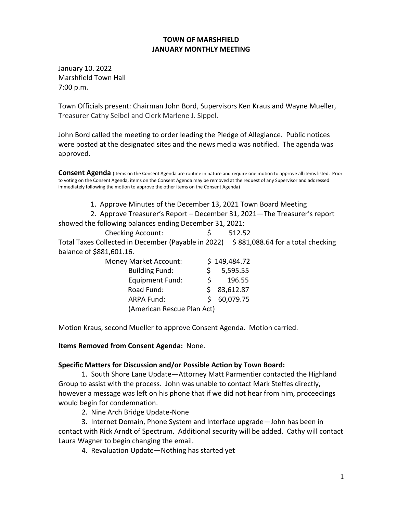## **TOWN OF MARSHFIELD JANUARY MONTHLY MEETING**

January 10. 2022 Marshfield Town Hall 7:00 p.m.

Town Officials present: Chairman John Bord, Supervisors Ken Kraus and Wayne Mueller, Treasurer Cathy Seibel and Clerk Marlene J. Sippel.

John Bord called the meeting to order leading the Pledge of Allegiance. Public notices were posted at the designated sites and the news media was notified. The agenda was approved.

Consent Agenda (Items on the Consent Agenda are routine in nature and require one motion to approve all items listed. Prior to voting on the Consent Agenda, items on the Consent Agenda may be removed at the request of any Supervisor and addressed immediately following the motion to approve the other items on the Consent Agenda)

1. Approve Minutes of the December 13, 2021 Town Board Meeting

2. Approve Treasurer's Report – December 31, 2021—The Treasurer's report

showed the following balances ending December 31, 2021:

| <b>Checking Account:</b> |  | 512.52 |
|--------------------------|--|--------|
|--------------------------|--|--------|

Total Taxes Collected in December (Payable in 2022)  $\$881,088.64$  for a total checking balance of \$881,601.16.

| <b>Money Market Account:</b> |    | \$149,484.72 |
|------------------------------|----|--------------|
| <b>Building Fund:</b>        |    | 5,595.55     |
| <b>Equipment Fund:</b>       | S. | 196.55       |
| Road Fund:                   |    | \$3,612.87   |
| <b>ARPA Fund:</b>            | S. | 60,079.75    |
| (American Rescue Plan Act)   |    |              |

Motion Kraus, second Mueller to approve Consent Agenda. Motion carried.

**Items Removed from Consent Agenda:** None.

## **Specific Matters for Discussion and/or Possible Action by Town Board:**

1. South Shore Lane Update—Attorney Matt Parmentier contacted the Highland Group to assist with the process. John was unable to contact Mark Steffes directly, however a message was left on his phone that if we did not hear from him, proceedings would begin for condemnation.

2. Nine Arch Bridge Update-None

3. Internet Domain, Phone System and Interface upgrade—John has been in contact with Rick Arndt of Spectrum. Additional security will be added. Cathy will contact Laura Wagner to begin changing the email.

4. Revaluation Update—Nothing has started yet